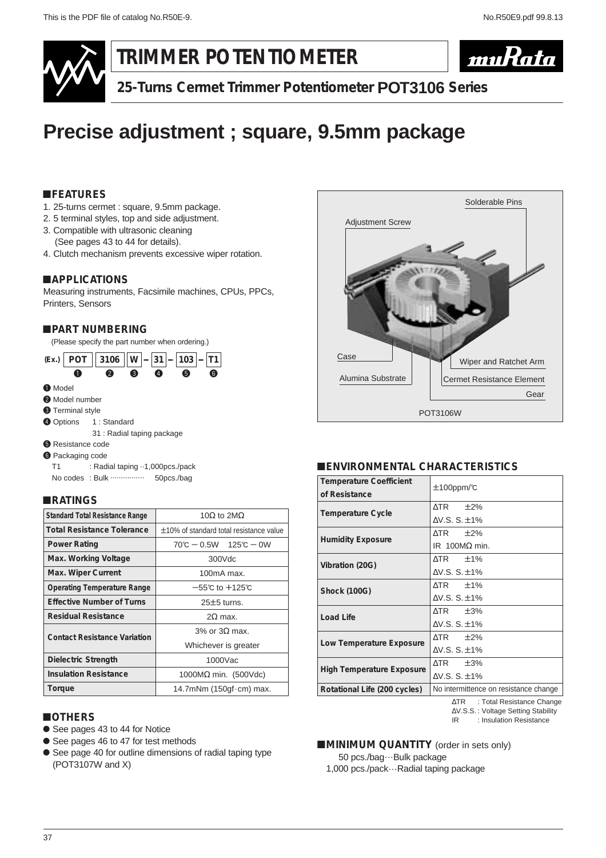

# **TRIMMER POTENTIOMETER**



**25-Turns Cermet Trimmer Potentiometer POT3106 Series**

# **Precise adjustment ; square, 9.5mm package**

## !**FEATURES**

- 1. 25-turns cermet : square, 9.5mm package.
- 2. 5 terminal styles, top and side adjustment.
- 3. Compatible with ultrasonic cleaning (See pages 43 to 44 for details).
- 4. Clutch mechanism prevents excessive wiper rotation.

### !**APPLICATIONS**

Measuring instruments, Facsimile machines, CPUs, PPCs, Printers, Sensors



(Please specify the part number when ordering.)



**4** Options 1 : Standard

31 : Radial taping package

**6** Resistance code

**6** Packaging code

T1 : Radial taping ...1,000pcs./pack No codes : Bulk ................1,050pcs./bag

#### !**RATINGS**

| <b>Standard Total Resistance Range</b> | 10 $\Omega$ to 2M $\Omega$                   |  |  |
|----------------------------------------|----------------------------------------------|--|--|
| <b>Total Resistance Tolerance</b>      | $\pm$ 10% of standard total resistance value |  |  |
| <b>Power Rating</b>                    | $70^{\circ}$ C - 0.5W 125 $^{\circ}$ C - 0W  |  |  |
| Max. Working Voltage                   | 300Vdc                                       |  |  |
| Max. Wiper Current                     | $100 \text{mA max}$                          |  |  |
| <b>Operating Temperature Range</b>     | $-55^{\circ}$ C to $+125^{\circ}$ C          |  |  |
| <b>Effective Number of Turns</b>       | $25\pm 5$ turns.                             |  |  |
| Residual Resistance                    | $2\Omega$ max.                               |  |  |
| <b>Contact Resistance Variation</b>    | $3\%$ or $3\Omega$ max.                      |  |  |
|                                        | Whichever is greater                         |  |  |
| Dielectric Strength                    | 1000Vac                                      |  |  |
| <b>Insulation Resistance</b>           | 1000 $M\Omega$ min. (500Vdc)                 |  |  |
| Torque                                 | 14.7mNm $(150gf \cdot cm)$ max.              |  |  |

### !**OTHERS**

- See pages 43 to 44 for Notice
- See pages 46 to 47 for test methods
- See page 40 for outline dimensions of radial taping type (POT3107W and X)



# !**ENVIRONMENTAL CHARACTERISTICS**

| <b>Temperature Coefficient</b>   | $±100$ ppm/°C                         |  |
|----------------------------------|---------------------------------------|--|
| of Resistance                    |                                       |  |
| <b>Temperature Cycle</b>         | $\triangle$ TR $\pm$ 2%               |  |
|                                  | $AV.S. S. \pm 1\%$                    |  |
| <b>Humidity Exposure</b>         | $\triangle$ TR $\pm$ 2%               |  |
|                                  | IR 100M $\Omega$ min.                 |  |
| Vibration (20G)                  | $\triangle$ TR $\pm$ 1%               |  |
|                                  | $AV.S. S. \pm 1\%$                    |  |
| <b>Shock (100G)</b>              | $\triangle$ TR $\pm$ 1%               |  |
|                                  | $AV.S. S. \pm 1\%$                    |  |
| Load Life                        | $\triangle$ TR $\pm$ 3%               |  |
|                                  | $AV.S. S. \pm 1\%$                    |  |
| Low Temperature Exposure         | $\triangle$ TR $\pm$ 2%               |  |
|                                  | $AV.S. S. \pm 1\%$                    |  |
| <b>High Temperature Exposure</b> | $\triangle$ TR $\pm$ 3%               |  |
|                                  | $AV.S. S. \pm 1\%$                    |  |
| Rotational Life (200 cycles)     | No intermittence on resistance change |  |

<sup>∆</sup>TR : Total Resistance Change ∆V.S.S. : Voltage Setting Stability

IR : Insulation Resistance

!**MINIMUM QUANTITY** (order in sets only) 50 pcs./bag…Bulk package

1,000 pcs./pack…Radial taping package